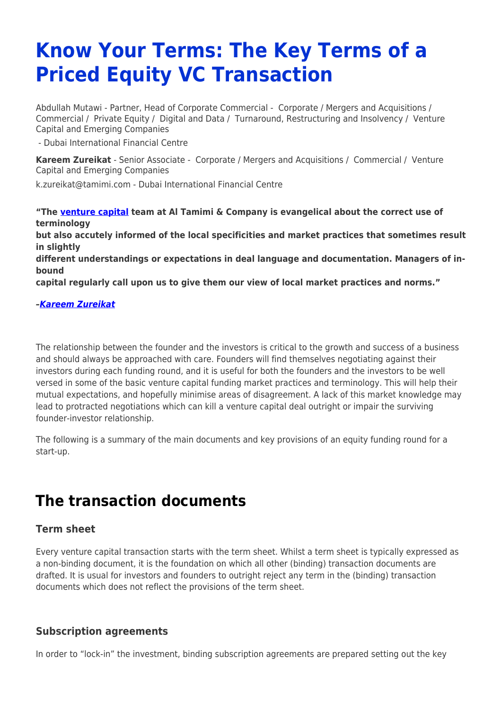# **Know Your Terms: The Key Terms of a Priced Equity VC Transaction**

Abdullah Mutawi - Partner, Head of Corporate Commercial - [Corporate / Mergers and Acquisitions](https://www.tamimi.com/client-services/practices/corporate-mergers-acquisitions/) / [Commercial](https://www.tamimi.com/client-services/practices/commercial/) / [Private Equity](https://www.tamimi.com/client-services/practices/private-equity/) / [Digital and Data](https://www.tamimi.com/client-services/practices/digital-data/) / [Turnaround, Restructuring and Insolvency](https://www.tamimi.com/client-services/practices/turnaround-restructuring-insolvency/) / [Venture](https://www.tamimi.com/client-services/practices/venture-capital-emerging-companies/) [Capital and Emerging Companies](https://www.tamimi.com/client-services/practices/venture-capital-emerging-companies/)

- [Dubai International Financial Centre](https://www.tamimi.com/locations/uae/)

**[Kareem Zureikat](https://www.tamimi.com/find-a-lawyer/kareem-zureikat/)** - Senior Associate - [Corporate / Mergers and Acquisitions](https://www.tamimi.com/client-services/practices/corporate-mergers-acquisitions/) / [Commercial](https://www.tamimi.com/client-services/practices/commercial/) / [Venture](https://www.tamimi.com/client-services/practices/venture-capital-emerging-companies/) [Capital and Emerging Companies](https://www.tamimi.com/client-services/practices/venture-capital-emerging-companies/)

[k.zureikat@tamimi.com](mailto:k.zureikat@tamimi.com) - [Dubai International Financial Centre](https://www.tamimi.com/locations/uae/)

**"The [venture capital](https://www.tamimi.com/client-services/practices/venture-capital-emerging-companies/) team at Al Tamimi & Company is evangelical about the correct use of terminology but also accutely informed of the local specificities and market practices that sometimes result in slightly different understandings or expectations in deal language and documentation. Managers of inbound capital regularly call upon us to give them our view of local market practices and norms."**

#### *[–Kareem Zureikat](https://www.tamimi.com/find-a-lawyer/kareem-zureikat/)*

The relationship between the founder and the investors is critical to the growth and success of a business and should always be approached with care. Founders will find themselves negotiating against their investors during each funding round, and it is useful for both the founders and the investors to be well versed in some of the basic venture capital funding market practices and terminology. This will help their mutual expectations, and hopefully minimise areas of disagreement. A lack of this market knowledge may lead to protracted negotiations which can kill a venture capital deal outright or impair the surviving founder-investor relationship.

The following is a summary of the main documents and key provisions of an equity funding round for a start-up.

# **The transaction documents**

#### **Term sheet**

Every venture capital transaction starts with the term sheet. Whilst a term sheet is typically expressed as a non-binding document, it is the foundation on which all other (binding) transaction documents are drafted. It is usual for investors and founders to outright reject any term in the (binding) transaction documents which does not reflect the provisions of the term sheet.

#### **Subscription agreements**

In order to "lock-in" the investment, binding subscription agreements are prepared setting out the key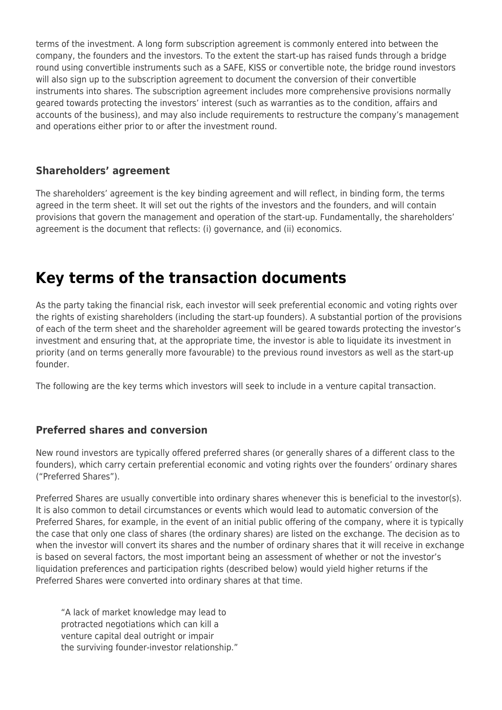terms of the investment. A long form subscription agreement is commonly entered into between the company, the founders and the investors. To the extent the start-up has raised funds through a bridge round using convertible instruments such as a SAFE, KISS or convertible note, the bridge round investors will also sign up to the subscription agreement to document the conversion of their convertible instruments into shares. The subscription agreement includes more comprehensive provisions normally geared towards protecting the investors' interest (such as warranties as to the condition, affairs and accounts of the business), and may also include requirements to restructure the company's management and operations either prior to or after the investment round.

## **Shareholders' agreement**

The shareholders' agreement is the key binding agreement and will reflect, in binding form, the terms agreed in the term sheet. It will set out the rights of the investors and the founders, and will contain provisions that govern the management and operation of the start-up. Fundamentally, the shareholders' agreement is the document that reflects: (i) governance, and (ii) economics.

# **Key terms of the transaction documents**

As the party taking the financial risk, each investor will seek preferential economic and voting rights over the rights of existing shareholders (including the start-up founders). A substantial portion of the provisions of each of the term sheet and the shareholder agreement will be geared towards protecting the investor's investment and ensuring that, at the appropriate time, the investor is able to liquidate its investment in priority (and on terms generally more favourable) to the previous round investors as well as the start-up founder.

The following are the key terms which investors will seek to include in a venture capital transaction.

#### **Preferred shares and conversion**

New round investors are typically offered preferred shares (or generally shares of a different class to the founders), which carry certain preferential economic and voting rights over the founders' ordinary shares ("Preferred Shares").

Preferred Shares are usually convertible into ordinary shares whenever this is beneficial to the investor(s). It is also common to detail circumstances or events which would lead to automatic conversion of the Preferred Shares, for example, in the event of an initial public offering of the company, where it is typically the case that only one class of shares (the ordinary shares) are listed on the exchange. The decision as to when the investor will convert its shares and the number of ordinary shares that it will receive in exchange is based on several factors, the most important being an assessment of whether or not the investor's liquidation preferences and participation rights (described below) would yield higher returns if the Preferred Shares were converted into ordinary shares at that time.

"A lack of market knowledge may lead to protracted negotiations which can kill a venture capital deal outright or impair the surviving founder-investor relationship."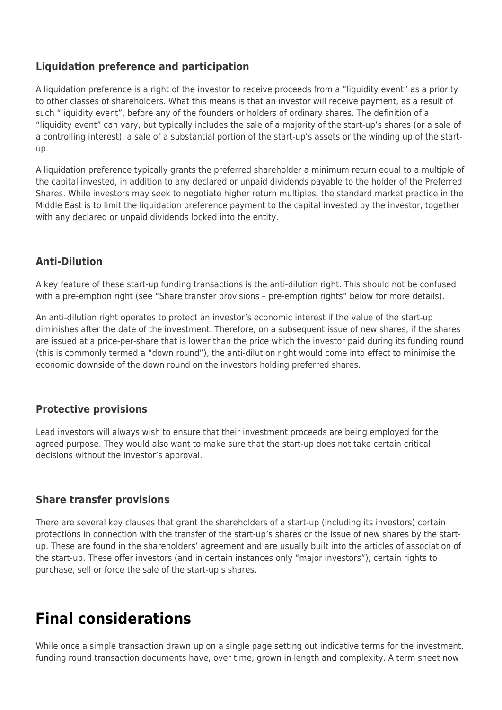## **Liquidation preference and participation**

A liquidation preference is a right of the investor to receive proceeds from a "liquidity event" as a priority to other classes of shareholders. What this means is that an investor will receive payment, as a result of such "liquidity event", before any of the founders or holders of ordinary shares. The definition of a "liquidity event" can vary, but typically includes the sale of a majority of the start-up's shares (or a sale of a controlling interest), a sale of a substantial portion of the start-up's assets or the winding up of the startup.

A liquidation preference typically grants the preferred shareholder a minimum return equal to a multiple of the capital invested, in addition to any declared or unpaid dividends payable to the holder of the Preferred Shares. While investors may seek to negotiate higher return multiples, the standard market practice in the Middle East is to limit the liquidation preference payment to the capital invested by the investor, together with any declared or unpaid dividends locked into the entity.

### **Anti-Dilution**

A key feature of these start-up funding transactions is the anti-dilution right. This should not be confused with a pre-emption right (see "Share transfer provisions - pre-emption rights" below for more details).

An anti-dilution right operates to protect an investor's economic interest if the value of the start-up diminishes after the date of the investment. Therefore, on a subsequent issue of new shares, if the shares are issued at a price-per-share that is lower than the price which the investor paid during its funding round (this is commonly termed a "down round"), the anti-dilution right would come into effect to minimise the economic downside of the down round on the investors holding preferred shares.

### **Protective provisions**

Lead investors will always wish to ensure that their investment proceeds are being employed for the agreed purpose. They would also want to make sure that the start-up does not take certain critical decisions without the investor's approval.

#### **Share transfer provisions**

There are several key clauses that grant the shareholders of a start-up (including its investors) certain protections in connection with the transfer of the start-up's shares or the issue of new shares by the startup. These are found in the shareholders' agreement and are usually built into the articles of association of the start-up. These offer investors (and in certain instances only "major investors"), certain rights to purchase, sell or force the sale of the start-up's shares.

# **Final considerations**

While once a simple transaction drawn up on a single page setting out indicative terms for the investment, funding round transaction documents have, over time, grown in length and complexity. A term sheet now